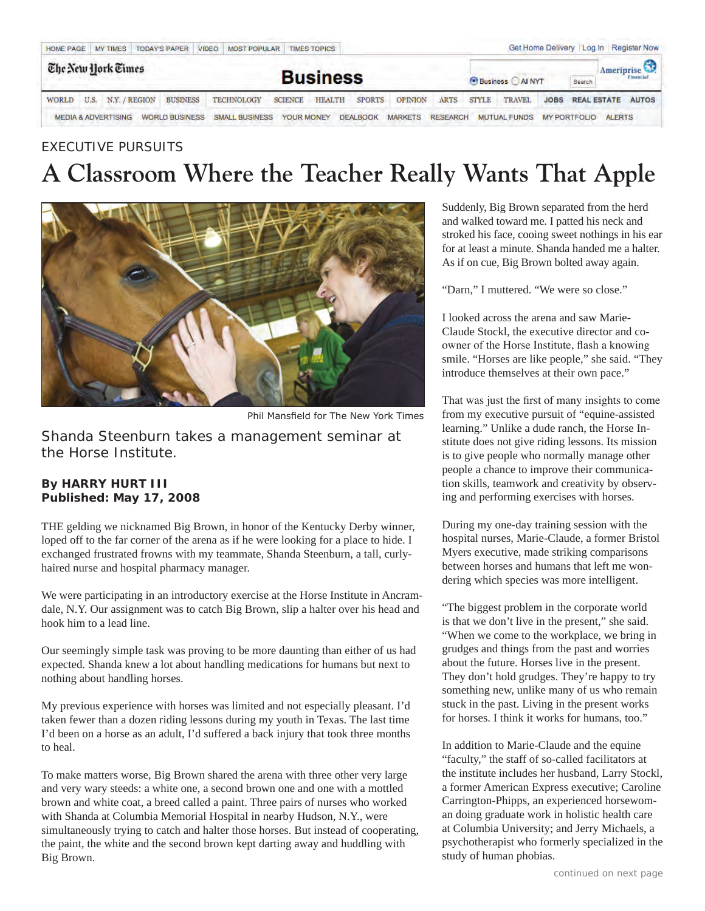| <b>HOME PAGE</b>   | VIDEO MOST POPULAR TIMES TOPICS<br><b>TODAY'S PAPER</b><br>MY TIMES |               |                       |  |                           |                |               |                 |                |                                 | Get Home Delivery Log In Register Now |                                    |             |  |                                       |                   |
|--------------------|---------------------------------------------------------------------|---------------|-----------------------|--|---------------------------|----------------|---------------|-----------------|----------------|---------------------------------|---------------------------------------|------------------------------------|-------------|--|---------------------------------------|-------------------|
| The New York Times |                                                                     |               |                       |  | <b>Business</b>           |                |               |                 |                | Search<br><b>Business</b> AINYT |                                       |                                    |             |  | Ameriprise <sup>23</sup><br>Financial |                   |
| WORLD              | U.S.                                                                | N.Y. / REGION | <b>BUSINESS</b>       |  | TECHNOLOGY                | <b>SCIENCE</b> | <b>HEALTH</b> | <b>SPORTS</b>   | <b>OPINION</b> | <b>ARTS</b>                     | <b>STYLE</b>                          | <b>TRAVEL</b>                      | <b>JOBS</b> |  |                                       | REAL ESTATE AUTOS |
|                    | <b>MEDIA &amp; ADVERTISING</b>                                      |               | <b>WORLD BUSINESS</b> |  | SMALL BUSINESS YOUR MONEY |                |               | <b>DEALBOOK</b> | <b>MARKETS</b> |                                 |                                       | RESEARCH MUTUAL FUNDS MY PORTFOLIO |             |  | <b>ALERTS</b>                         |                   |

## EXECUTIVE PURSUITS **A Classroom Where the Teacher Really Wants That Apple**



Phil Mansfield for The New York Times

*Shanda Steenburn takes a management seminar at the Horse Institute.*

## **By HARRY HURT III Published: May 17, 2008**

THE gelding we nicknamed Big Brown, in honor of the Kentucky Derby winner, loped off to the far corner of the arena as if he were looking for a place to hide. I exchanged frustrated frowns with my teammate, Shanda Steenburn, a tall, curlyhaired nurse and hospital pharmacy manager.

We were participating in an introductory exercise at the Horse Institute in Ancramdale, N.Y. Our assignment was to catch Big Brown, slip a halter over his head and hook him to a lead line.

Our seemingly simple task was proving to be more daunting than either of us had expected. Shanda knew a lot about handling medications for humans but next to nothing about handling horses.

My previous experience with horses was limited and not especially pleasant. I'd taken fewer than a dozen riding lessons during my youth in Texas. The last time I'd been on a horse as an adult, I'd suffered a back injury that took three months to heal.

To make matters worse, Big Brown shared the arena with three other very large and very wary steeds: a white one, a second brown one and one with a mottled brown and white coat, a breed called a paint. Three pairs of nurses who worked with Shanda at Columbia Memorial Hospital in nearby Hudson, N.Y., were simultaneously trying to catch and halter those horses. But instead of cooperating, the paint, the white and the second brown kept darting away and huddling with Big Brown.

Suddenly, Big Brown separated from the herd and walked toward me. I patted his neck and stroked his face, cooing sweet nothings in his ear for at least a minute. Shanda handed me a halter. As if on cue, Big Brown bolted away again.

"Darn," I muttered. "We were so close."

I looked across the arena and saw Marie-Claude Stockl, the executive director and coowner of the Horse Institute, flash a knowing smile. "Horses are like people," she said. "They introduce themselves at their own pace."

That was just the first of many insights to come from my executive pursuit of "equine-assisted learning." Unlike a dude ranch, the Horse Institute does not give riding lessons. Its mission is to give people who normally manage other people a chance to improve their communication skills, teamwork and creativity by observing and performing exercises with horses.

During my one-day training session with the hospital nurses, Marie-Claude, a former Bristol Myers executive, made striking comparisons between horses and humans that left me wondering which species was more intelligent.

"The biggest problem in the corporate world is that we don't live in the present," she said. "When we come to the workplace, we bring in grudges and things from the past and worries about the future. Horses live in the present. They don't hold grudges. They're happy to try something new, unlike many of us who remain stuck in the past. Living in the present works for horses. I think it works for humans, too."

In addition to Marie-Claude and the equine "faculty," the staff of so-called facilitators at the institute includes her husband, Larry Stockl, a former American Express executive; Caroline Carrington-Phipps, an experienced horsewoman doing graduate work in holistic health care at Columbia University; and Jerry Michaels, a psychotherapist who formerly specialized in the study of human phobias.